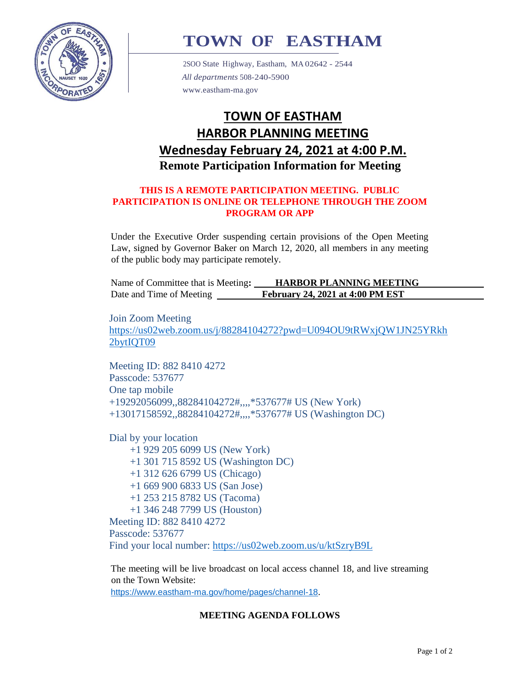

# **TOWN OF EASTHAM**

2SOO State Highway, Eastham, MA 02642 - 2544 *All departments* 508-240-5900 [www.eastham-ma.gov](http://www.eastham-ma.gov/)

# **TOWN OF EASTHAM HARBOR PLANNING MEETING Wednesday February 24, 2021 at 4:00 P.M. Remote Participation Information for Meeting**

#### **THIS IS A REMOTE PARTICIPATION MEETING. PUBLIC PARTICIPATION IS ONLINE OR TELEPHONE THROUGH THE ZOOM PROGRAM OR APP**

Under the Executive Order suspending certain provisions of the Open Meeting Law, signed by Governor Baker on March 12, 2020, all members in any meeting of the public body may participate remotely.

| Name of Committee that is Meeting: | <b>HARBOR PLANNING MEETING</b>   |
|------------------------------------|----------------------------------|
| Date and Time of Meeting           | February 24, 2021 at 4:00 PM EST |

Join Zoom Meeting [https://us02web.zoom.us/j/88284104272?pwd=U094OU9tRWxjQW1JN25YRkh](https://us02web.zoom.us/j/88284104272?pwd=U094OU9tRWxjQW1JN25YRkh2bytIQT09) [2bytIQT09](https://us02web.zoom.us/j/88284104272?pwd=U094OU9tRWxjQW1JN25YRkh2bytIQT09)

Meeting ID: 882 8410 4272 Passcode: 537677 One tap mobile +19292056099,,88284104272#,,,,\*537677# US (New York) +13017158592,,88284104272#,,,,\*537677# US (Washington DC)

Dial by your location +1 929 205 6099 US (New York) +1 301 715 8592 US (Washington DC) +1 312 626 6799 US (Chicago) +1 669 900 6833 US (San Jose) +1 253 215 8782 US (Tacoma) +1 346 248 7799 US (Houston) Meeting ID: 882 8410 4272 Passcode: 537677 Find your local number:<https://us02web.zoom.us/u/ktSzryB9L>

The meeting will be live broadcast on local access channel 18, and live streaming on the Town Website:

<https://www.eastham-ma.gov/home/pages/channel-18>.

## **MEETING AGENDA FOLLOWS**